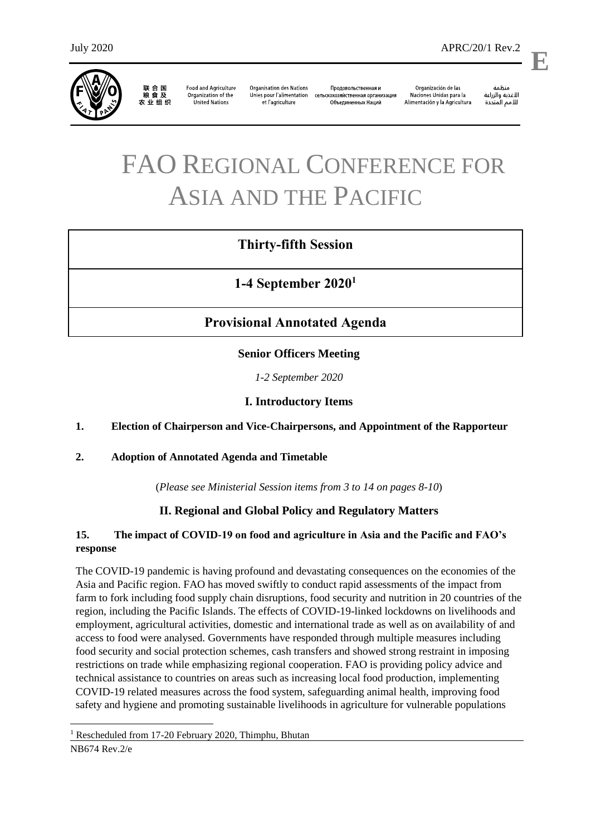

联合国<br>粮食及 农业组织

**Organisation des Nations Food and Agriculture** Organization of the Unies pour l'alimentation et l'agriculture United Nations

Продовольственная и сельскохозяйственная организация Объединенных Наций

Naciones Unidas para la Alimentación y la Agricultura

änhin الأغذية والزراعة للأمم المتحدة

Organización de las

.

**E**

# FAO REGIONAL CONFERENCE FOR ASIA AND THE PACIFIC

# **Thirty-fifth Session**

**1-4 September 2020<sup>1</sup>**

# **Provisional Annotated Agenda**

**Senior Officers Meeting**

*1-2 September 2020*

## **I. Introductory Items**

## **1. Election of Chairperson and Vice-Chairpersons, and Appointment of the Rapporteur**

## **2. Adoption of Annotated Agenda and Timetable**

(*Please see Ministerial Session items from 3 to 14 on pages 8-10*)

## **II. Regional and Global Policy and Regulatory Matters**

## **15. The impact of COVID-19 on food and agriculture in Asia and the Pacific and FAO's response**

The COVID-19 pandemic is having profound and devastating consequences on the economies of the Asia and Pacific region. FAO has moved swiftly to conduct rapid assessments of the impact from farm to fork including food supply chain disruptions, food security and nutrition in 20 countries of the region, including the Pacific Islands. The effects of COVID-19-linked lockdowns on livelihoods and employment, agricultural activities, domestic and international trade as well as on availability of and access to food were analysed. Governments have responded through multiple measures including food security and social protection schemes, cash transfers and showed strong restraint in imposing restrictions on trade while emphasizing regional cooperation. FAO is providing policy advice and technical assistance to countries on areas such as increasing local food production, implementing COVID-19 related measures across the food system, safeguarding animal health, improving food safety and hygiene and promoting sustainable livelihoods in agriculture for vulnerable populations

 $\overline{a}$ 

<sup>&</sup>lt;sup>1</sup> Rescheduled from 17-20 February 2020, Thimphu, Bhutan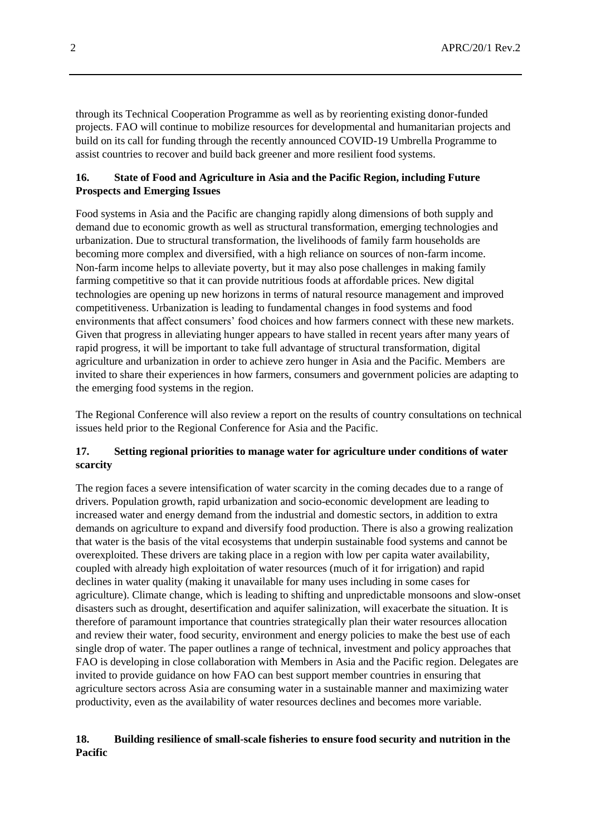through its Technical Cooperation Programme as well as by reorienting existing donor-funded projects. FAO will continue to mobilize resources for developmental and humanitarian projects and build on its call for funding through the recently announced COVID-19 Umbrella Programme to assist countries to recover and build back greener and more resilient food systems.

## **16. State of Food and Agriculture in Asia and the Pacific Region, including Future Prospects and Emerging Issues**

Food systems in Asia and the Pacific are changing rapidly along dimensions of both supply and demand due to economic growth as well as structural transformation, emerging technologies and urbanization. Due to structural transformation, the livelihoods of family farm households are becoming more complex and diversified, with a high reliance on sources of non-farm income. Non-farm income helps to alleviate poverty, but it may also pose challenges in making family farming competitive so that it can provide nutritious foods at affordable prices. New digital technologies are opening up new horizons in terms of natural resource management and improved competitiveness. Urbanization is leading to fundamental changes in food systems and food environments that affect consumers' food choices and how farmers connect with these new markets. Given that progress in alleviating hunger appears to have stalled in recent years after many years of rapid progress, it will be important to take full advantage of structural transformation, digital agriculture and urbanization in order to achieve zero hunger in Asia and the Pacific. Members are invited to share their experiences in how farmers, consumers and government policies are adapting to the emerging food systems in the region.

The Regional Conference will also review a report on the results of country consultations on technical issues held prior to the Regional Conference for Asia and the Pacific.

## **17. Setting regional priorities to manage water for agriculture under conditions of water scarcity**

The region faces a severe intensification of water scarcity in the coming decades due to a range of drivers. Population growth, rapid urbanization and socio-economic development are leading to increased water and energy demand from the industrial and domestic sectors, in addition to extra demands on agriculture to expand and diversify food production. There is also a growing realization that water is the basis of the vital ecosystems that underpin sustainable food systems and cannot be overexploited. These drivers are taking place in a region with low per capita water availability, coupled with already high exploitation of water resources (much of it for irrigation) and rapid declines in water quality (making it unavailable for many uses including in some cases for agriculture). Climate change, which is leading to shifting and unpredictable monsoons and slow-onset disasters such as drought, desertification and aquifer salinization, will exacerbate the situation. It is therefore of paramount importance that countries strategically plan their water resources allocation and review their water, food security, environment and energy policies to make the best use of each single drop of water. The paper outlines a range of technical, investment and policy approaches that FAO is developing in close collaboration with Members in Asia and the Pacific region. Delegates are invited to provide guidance on how FAO can best support member countries in ensuring that agriculture sectors across Asia are consuming water in a sustainable manner and maximizing water productivity, even as the availability of water resources declines and becomes more variable.

## **18. Building resilience of small-scale fisheries to ensure food security and nutrition in the Pacific**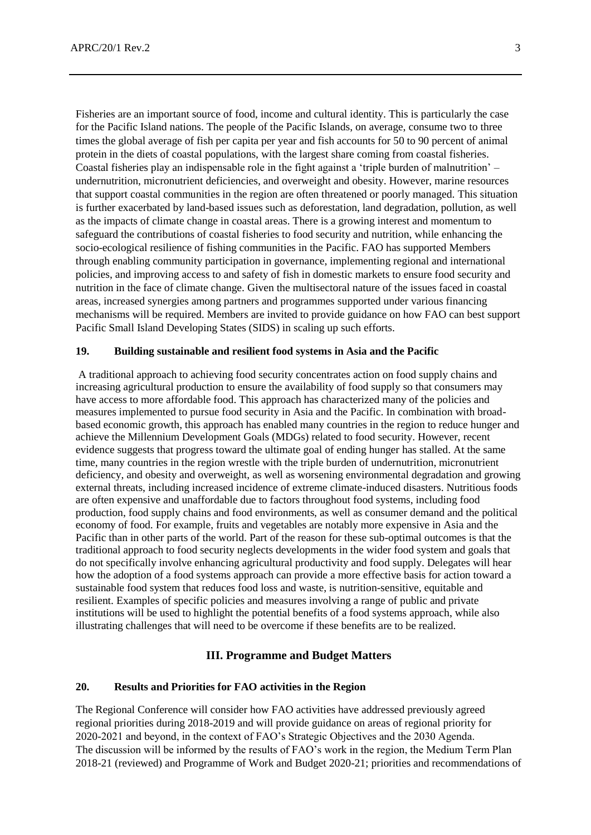Fisheries are an important source of food, income and cultural identity. This is particularly the case for the Pacific Island nations. The people of the Pacific Islands, on average, consume two to three times the global average of fish per capita per year and fish accounts for 50 to 90 percent of animal protein in the diets of coastal populations, with the largest share coming from coastal fisheries. Coastal fisheries play an indispensable role in the fight against a 'triple burden of malnutrition' – undernutrition, micronutrient deficiencies, and overweight and obesity. However, marine resources that support coastal communities in the region are often threatened or poorly managed. This situation is further exacerbated by land-based issues such as deforestation, land degradation, pollution, as well as the impacts of climate change in coastal areas. There is a growing interest and momentum to safeguard the contributions of coastal fisheries to food security and nutrition, while enhancing the socio-ecological resilience of fishing communities in the Pacific. FAO has supported Members through enabling community participation in governance, implementing regional and international policies, and improving access to and safety of fish in domestic markets to ensure food security and nutrition in the face of climate change. Given the multisectoral nature of the issues faced in coastal areas, increased synergies among partners and programmes supported under various financing mechanisms will be required. Members are invited to provide guidance on how FAO can best support Pacific Small Island Developing States (SIDS) in scaling up such efforts.

#### **19. Building sustainable and resilient food systems in Asia and the Pacific**

A traditional approach to achieving food security concentrates action on food supply chains and increasing agricultural production to ensure the availability of food supply so that consumers may have access to more affordable food. This approach has characterized many of the policies and measures implemented to pursue food security in Asia and the Pacific. In combination with broadbased economic growth, this approach has enabled many countries in the region to reduce hunger and achieve the Millennium Development Goals (MDGs) related to food security. However, recent evidence suggests that progress toward the ultimate goal of ending hunger has stalled. At the same time, many countries in the region wrestle with the triple burden of undernutrition, micronutrient deficiency, and obesity and overweight, as well as worsening environmental degradation and growing external threats, including increased incidence of extreme climate-induced disasters. Nutritious foods are often expensive and unaffordable due to factors throughout food systems, including food production, food supply chains and food environments, as well as consumer demand and the political economy of food. For example, fruits and vegetables are notably more expensive in Asia and the Pacific than in other parts of the world. Part of the reason for these sub-optimal outcomes is that the traditional approach to food security neglects developments in the wider food system and goals that do not specifically involve enhancing agricultural productivity and food supply. Delegates will hear how the adoption of a food systems approach can provide a more effective basis for action toward a sustainable food system that reduces food loss and waste, is nutrition-sensitive, equitable and resilient. Examples of specific policies and measures involving a range of public and private institutions will be used to highlight the potential benefits of a food systems approach, while also illustrating challenges that will need to be overcome if these benefits are to be realized.

#### **III. Programme and Budget Matters**

#### **20. Results and Priorities for FAO activities in the Region**

The Regional Conference will consider how FAO activities have addressed previously agreed regional priorities during 2018-2019 and will provide guidance on areas of regional priority for 2020-2021 and beyond, in the context of FAO's Strategic Objectives and the 2030 Agenda. The discussion will be informed by the results of FAO's work in the region, the Medium Term Plan 2018-21 (reviewed) and Programme of Work and Budget 2020-21; priorities and recommendations of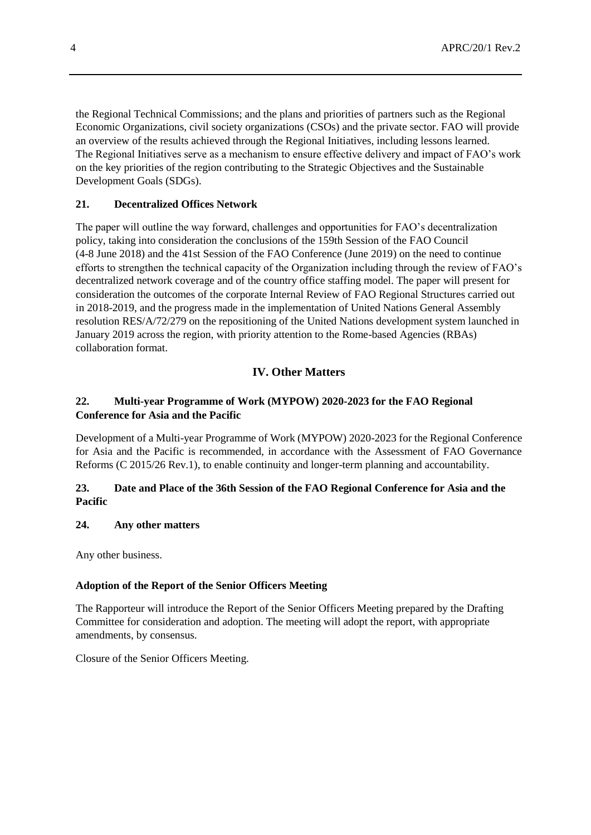the Regional Technical Commissions; and the plans and priorities of partners such as the Regional Economic Organizations, civil society organizations (CSOs) and the private sector. FAO will provide an overview of the results achieved through the Regional Initiatives, including lessons learned. The Regional Initiatives serve as a mechanism to ensure effective delivery and impact of FAO's work on the key priorities of the region contributing to the Strategic Objectives and the Sustainable Development Goals (SDGs).

## **21. Decentralized Offices Network**

The paper will outline the way forward, challenges and opportunities for FAO's decentralization policy, taking into consideration the conclusions of the 159th Session of the FAO Council (4-8 June 2018) and the 41st Session of the FAO Conference (June 2019) on the need to continue efforts to strengthen the technical capacity of the Organization including through the review of FAO's decentralized network coverage and of the country office staffing model. The paper will present for consideration the outcomes of the corporate Internal Review of FAO Regional Structures carried out in 2018-2019, and the progress made in the implementation of United Nations General Assembly resolution RES/A/72/279 on the repositioning of the United Nations development system launched in January 2019 across the region, with priority attention to the Rome-based Agencies (RBAs) collaboration format.

## **IV. Other Matters**

## **22. Multi-year Programme of Work (MYPOW) 2020-2023 for the FAO Regional Conference for Asia and the Pacific**

Development of a Multi-year Programme of Work (MYPOW) 2020-2023 for the Regional Conference for Asia and the Pacific is recommended, in accordance with the Assessment of FAO Governance Reforms (C 2015/26 Rev.1), to enable continuity and longer-term planning and accountability.

## **23. Date and Place of the 36th Session of the FAO Regional Conference for Asia and the Pacific**

#### **24. Any other matters**

Any other business.

#### **Adoption of the Report of the Senior Officers Meeting**

The Rapporteur will introduce the Report of the Senior Officers Meeting prepared by the Drafting Committee for consideration and adoption. The meeting will adopt the report, with appropriate amendments, by consensus.

Closure of the Senior Officers Meeting.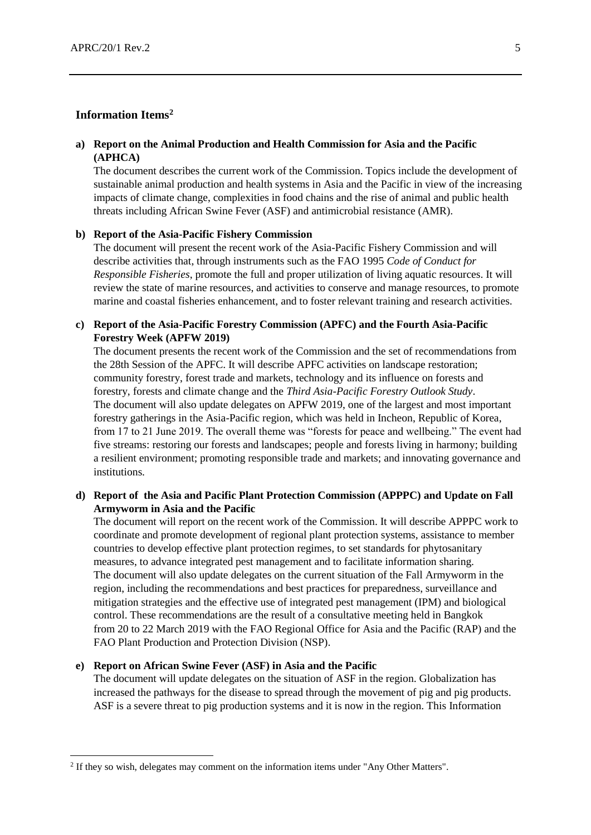## **Information Items<sup>2</sup>**

#### **a) Report on the Animal Production and Health Commission for Asia and the Pacific (APHCA)**

The document describes the current work of the Commission. Topics include the development of sustainable animal production and health systems in Asia and the Pacific in view of the increasing impacts of climate change, complexities in food chains and the rise of animal and public health threats including African Swine Fever (ASF) and antimicrobial resistance (AMR).

#### **b) Report of the Asia-Pacific Fishery Commission**

The document will present the recent work of the Asia-Pacific Fishery Commission and will describe activities that, through instruments such as the FAO 1995 *Code of Conduct for Responsible Fisheries*, promote the full and proper utilization of living aquatic resources. It will review the state of marine resources, and activities to conserve and manage resources, to promote marine and coastal fisheries enhancement, and to foster relevant training and research activities.

#### **c) Report of the Asia-Pacific Forestry Commission (APFC) and the Fourth Asia-Pacific Forestry Week (APFW 2019)**

The document presents the recent work of the Commission and the set of recommendations from the 28th Session of the APFC. It will describe APFC activities on landscape restoration; community forestry, forest trade and markets, technology and its influence on forests and forestry, forests and climate change and the *Third Asia-Pacific Forestry Outlook Study*. The document will also update delegates on APFW 2019, one of the largest and most important forestry gatherings in the Asia-Pacific region, which was held in Incheon, Republic of Korea, from 17 to 21 June 2019. The overall theme was "forests for peace and wellbeing." The event had five streams: restoring our forests and landscapes; people and forests living in harmony; building a resilient environment; promoting responsible trade and markets; and innovating governance and institutions.

## **d) Report of the Asia and Pacific Plant Protection Commission (APPPC) and Update on Fall Armyworm in Asia and the Pacific**

The document will report on the recent work of the Commission. It will describe APPPC work to coordinate and promote development of regional plant protection systems, assistance to member countries to develop effective plant protection regimes, to set standards for phytosanitary measures, to advance integrated pest management and to facilitate information sharing. The document will also update delegates on the current situation of the Fall Armyworm in the region, including the recommendations and best practices for preparedness, surveillance and mitigation strategies and the effective use of integrated pest management (IPM) and biological control. These recommendations are the result of a consultative meeting held in Bangkok from 20 to 22 March 2019 with the FAO Regional Office for Asia and the Pacific (RAP) and the FAO Plant Production and Protection Division (NSP).

#### **e) Report on African Swine Fever (ASF) in Asia and the Pacific**

 $\overline{a}$ 

The document will update delegates on the situation of ASF in the region. Globalization has increased the pathways for the disease to spread through the movement of pig and pig products. ASF is a severe threat to pig production systems and it is now in the region. This Information

<sup>&</sup>lt;sup>2</sup> If they so wish, delegates may comment on the information items under "Any Other Matters".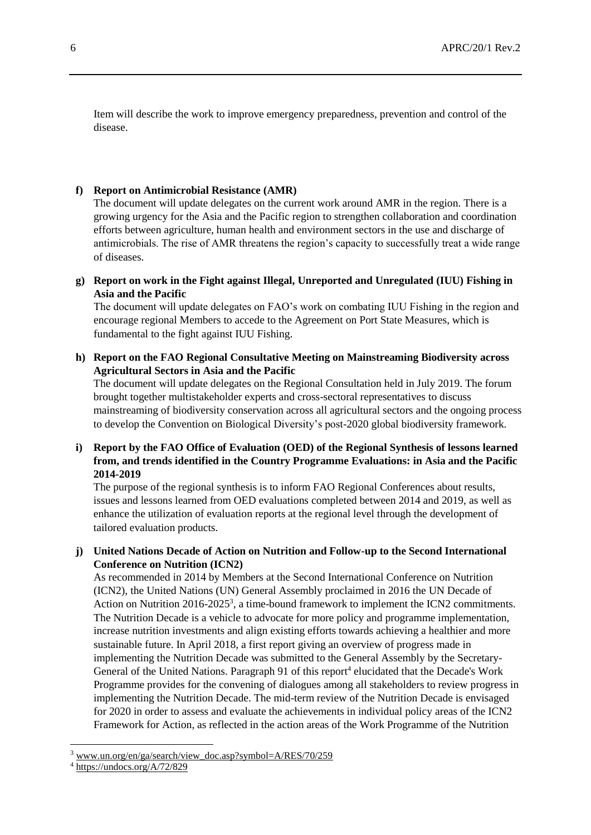Item will describe the work to improve emergency preparedness, prevention and control of the disease.

#### **f) Report on Antimicrobial Resistance (AMR)**

The document will update delegates on the current work around AMR in the region. There is a growing urgency for the Asia and the Pacific region to strengthen collaboration and coordination efforts between agriculture, human health and environment sectors in the use and discharge of antimicrobials. The rise of AMR threatens the region's capacity to successfully treat a wide range of diseases.

**g) Report on work in the Fight against Illegal, Unreported and Unregulated (IUU) Fishing in Asia and the Pacific**

The document will update delegates on FAO's work on combating IUU Fishing in the region and encourage regional Members to accede to the Agreement on Port State Measures, which is fundamental to the fight against IUU Fishing.

**h) Report on the FAO Regional Consultative Meeting on Mainstreaming Biodiversity across Agricultural Sectors in Asia and the Pacific**

The document will update delegates on the Regional Consultation held in July 2019. The forum brought together multistakeholder experts and cross-sectoral representatives to discuss mainstreaming of biodiversity conservation across all agricultural sectors and the ongoing process to develop the Convention on Biological Diversity's post-2020 global biodiversity framework.

**i) Report by the FAO Office of Evaluation (OED) of the Regional Synthesis of lessons learned from, and trends identified in the Country Programme Evaluations: in Asia and the Pacific 2014-2019**

The purpose of the regional synthesis is to inform FAO Regional Conferences about results, issues and lessons learned from OED evaluations completed between 2014 and 2019, as well as enhance the utilization of evaluation reports at the regional level through the development of tailored evaluation products.

## **j) United Nations Decade of Action on Nutrition and Follow-up to the Second International Conference on Nutrition (ICN2)**

As recommended in 2014 by Members at the Second International Conference on Nutrition (ICN2), the United Nations (UN) General Assembly proclaimed in 2016 the UN Decade of Action on Nutrition 2016-2025<sup>3</sup>, a time-bound framework to implement the ICN2 commitments. The Nutrition Decade is a vehicle to advocate for more policy and programme implementation, increase nutrition investments and align existing efforts towards achieving a healthier and more sustainable future. In April 2018, a first report giving an overview of progress made in implementing the Nutrition Decade was submitted to the General Assembly by the Secretary-General of the United Nations. Paragraph 91 of this report<sup>4</sup> elucidated that the Decade's Work Programme provides for the convening of dialogues among all stakeholders to review progress in implementing the Nutrition Decade. The mid-term review of the Nutrition Decade is envisaged for 2020 in order to assess and evaluate the achievements in individual policy areas of the ICN2 Framework for Action, as reflected in the action areas of the Work Programme of the Nutrition

l

<sup>3</sup> www.un.org/en/ga/search/view\_doc.asp?symbol=A/RES/70/259

<sup>4</sup> https://undocs.org/A/72/829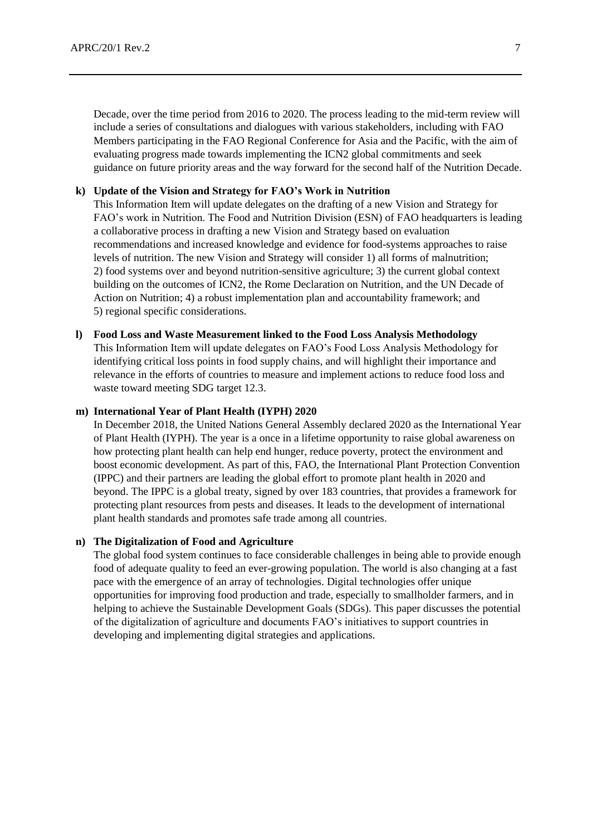Decade, over the time period from 2016 to 2020. The process leading to the mid-term review will include a series of consultations and dialogues with various stakeholders, including with FAO Members participating in the FAO Regional Conference for Asia and the Pacific, with the aim of evaluating progress made towards implementing the ICN2 global commitments and seek guidance on future priority areas and the way forward for the second half of the Nutrition Decade.

#### **k) Update of the Vision and Strategy for FAO's Work in Nutrition**

This Information Item will update delegates on the drafting of a new Vision and Strategy for FAO's work in Nutrition. The Food and Nutrition Division (ESN) of FAO headquarters is leading a collaborative process in drafting a new Vision and Strategy based on evaluation recommendations and increased knowledge and evidence for food-systems approaches to raise levels of nutrition. The new Vision and Strategy will consider 1) all forms of malnutrition; 2) food systems over and beyond nutrition-sensitive agriculture; 3) the current global context building on the outcomes of ICN2, the Rome Declaration on Nutrition, and the UN Decade of Action on Nutrition; 4) a robust implementation plan and accountability framework; and 5) regional specific considerations.

## **l) Food Loss and Waste Measurement linked to the Food Loss Analysis Methodology**

This Information Item will update delegates on FAO's Food Loss Analysis Methodology for identifying critical loss points in food supply chains, and will highlight their importance and relevance in the efforts of countries to measure and implement actions to reduce food loss and waste toward meeting SDG target 12.3.

#### **m) International Year of Plant Health (IYPH) 2020**

In December 2018, the United Nations General Assembly declared 2020 as the International Year of Plant Health (IYPH). The year is a once in a lifetime opportunity to raise global awareness on how protecting plant health can help end hunger, reduce poverty, protect the environment and boost economic development. As part of this, FAO, the International Plant Protection Convention (IPPC) and their partners are leading the global effort to promote plant health in 2020 and beyond. The IPPC is a global treaty, signed by over 183 countries, that provides a framework for protecting plant resources from pests and diseases. It leads to the development of international plant health standards and promotes safe trade among all countries.

#### **n) The Digitalization of Food and Agriculture**

The global food system continues to face considerable challenges in being able to provide enough food of adequate quality to feed an ever-growing population. The world is also changing at a fast pace with the emergence of an array of technologies. Digital technologies offer unique opportunities for improving food production and trade, especially to smallholder farmers, and in helping to achieve the Sustainable Development Goals (SDGs). This paper discusses the potential of the digitalization of agriculture and documents FAO's initiatives to support countries in developing and implementing digital strategies and applications.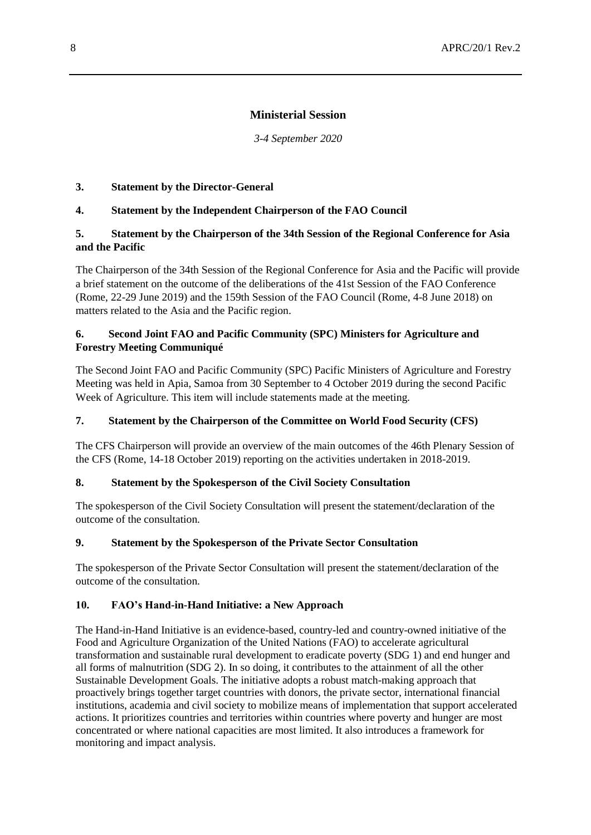## **Ministerial Session**

*3-4 September 2020*

#### **3. Statement by the Director-General**

## **4. Statement by the Independent Chairperson of the FAO Council**

## **5. Statement by the Chairperson of the 34th Session of the Regional Conference for Asia and the Pacific**

The Chairperson of the 34th Session of the Regional Conference for Asia and the Pacific will provide a brief statement on the outcome of the deliberations of the 41st Session of the FAO Conference (Rome, 22-29 June 2019) and the 159th Session of the FAO Council (Rome, 4-8 June 2018) on matters related to the Asia and the Pacific region.

## **6. Second Joint FAO and Pacific Community (SPC) Ministers for Agriculture and Forestry Meeting Communiqué**

The Second Joint FAO and Pacific Community (SPC) Pacific Ministers of Agriculture and Forestry Meeting was held in Apia, Samoa from 30 September to 4 October 2019 during the second Pacific Week of Agriculture. This item will include statements made at the meeting.

#### **7. Statement by the Chairperson of the Committee on World Food Security (CFS)**

The CFS Chairperson will provide an overview of the main outcomes of the 46th Plenary Session of the CFS (Rome, 14-18 October 2019) reporting on the activities undertaken in 2018-2019.

#### **8. Statement by the Spokesperson of the Civil Society Consultation**

The spokesperson of the Civil Society Consultation will present the statement/declaration of the outcome of the consultation.

#### **9. Statement by the Spokesperson of the Private Sector Consultation**

The spokesperson of the Private Sector Consultation will present the statement/declaration of the outcome of the consultation.

#### **10. FAO's Hand-in-Hand Initiative: a New Approach**

The Hand-in-Hand Initiative is an evidence-based, country-led and country-owned initiative of the Food and Agriculture Organization of the United Nations (FAO) to accelerate agricultural transformation and sustainable rural development to eradicate poverty (SDG 1) and end hunger and all forms of malnutrition (SDG 2). In so doing, it contributes to the attainment of all the other Sustainable Development Goals. The initiative adopts a robust match-making approach that proactively brings together target countries with donors, the private sector, international financial institutions, academia and civil society to mobilize means of implementation that support accelerated actions. It prioritizes countries and territories within countries where poverty and hunger are most concentrated or where national capacities are most limited. It also introduces a framework for monitoring and impact analysis.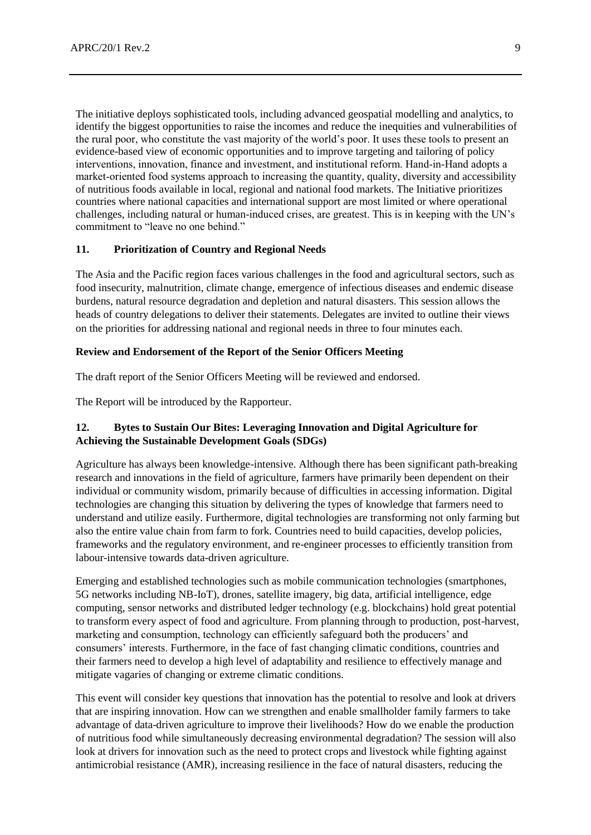The initiative deploys sophisticated tools, including advanced geospatial modelling and analytics, to identify the biggest opportunities to raise the incomes and reduce the inequities and vulnerabilities of the rural poor, who constitute the vast majority of the world's poor. It uses these tools to present an evidence-based view of economic opportunities and to improve targeting and tailoring of policy interventions, innovation, finance and investment, and institutional reform. Hand‐in‐Hand adopts a market-oriented food systems approach to increasing the quantity, quality, diversity and accessibility of nutritious foods available in local, regional and national food markets. The Initiative prioritizes countries where national capacities and international support are most limited or where operational challenges, including natural or human-induced crises, are greatest. This is in keeping with the UN's commitment to "leave no one behind."

#### **11. Prioritization of Country and Regional Needs**

The Asia and the Pacific region faces various challenges in the food and agricultural sectors, such as food insecurity, malnutrition, climate change, emergence of infectious diseases and endemic disease burdens, natural resource degradation and depletion and natural disasters. This session allows the heads of country delegations to deliver their statements. Delegates are invited to outline their views on the priorities for addressing national and regional needs in three to four minutes each.

#### **Review and Endorsement of the Report of the Senior Officers Meeting**

The draft report of the Senior Officers Meeting will be reviewed and endorsed.

The Report will be introduced by the Rapporteur.

## **12. Bytes to Sustain Our Bites: Leveraging Innovation and Digital Agriculture for Achieving the Sustainable Development Goals (SDGs)**

Agriculture has always been knowledge-intensive. Although there has been significant path-breaking research and innovations in the field of agriculture, farmers have primarily been dependent on their individual or community wisdom, primarily because of difficulties in accessing information. Digital technologies are changing this situation by delivering the types of knowledge that farmers need to understand and utilize easily. Furthermore, digital technologies are transforming not only farming but also the entire value chain from farm to fork. Countries need to build capacities, develop policies, frameworks and the regulatory environment, and re-engineer processes to efficiently transition from labour-intensive towards data-driven agriculture.

Emerging and established technologies such as mobile communication technologies (smartphones, 5G networks including NB-IoT), drones, satellite imagery, big data, artificial intelligence, edge computing, sensor networks and distributed ledger technology (e.g. blockchains) hold great potential to transform every aspect of food and agriculture. From planning through to production, post-harvest, marketing and consumption, technology can efficiently safeguard both the producers' and consumers' interests. Furthermore, in the face of fast changing climatic conditions, countries and their farmers need to develop a high level of adaptability and resilience to effectively manage and mitigate vagaries of changing or extreme climatic conditions.

This event will consider key questions that innovation has the potential to resolve and look at drivers that are inspiring innovation. How can we strengthen and enable smallholder family farmers to take advantage of data-driven agriculture to improve their livelihoods? How do we enable the production of nutritious food while simultaneously decreasing environmental degradation? The session will also look at drivers for innovation such as the need to protect crops and livestock while fighting against antimicrobial resistance (AMR), increasing resilience in the face of natural disasters, reducing the